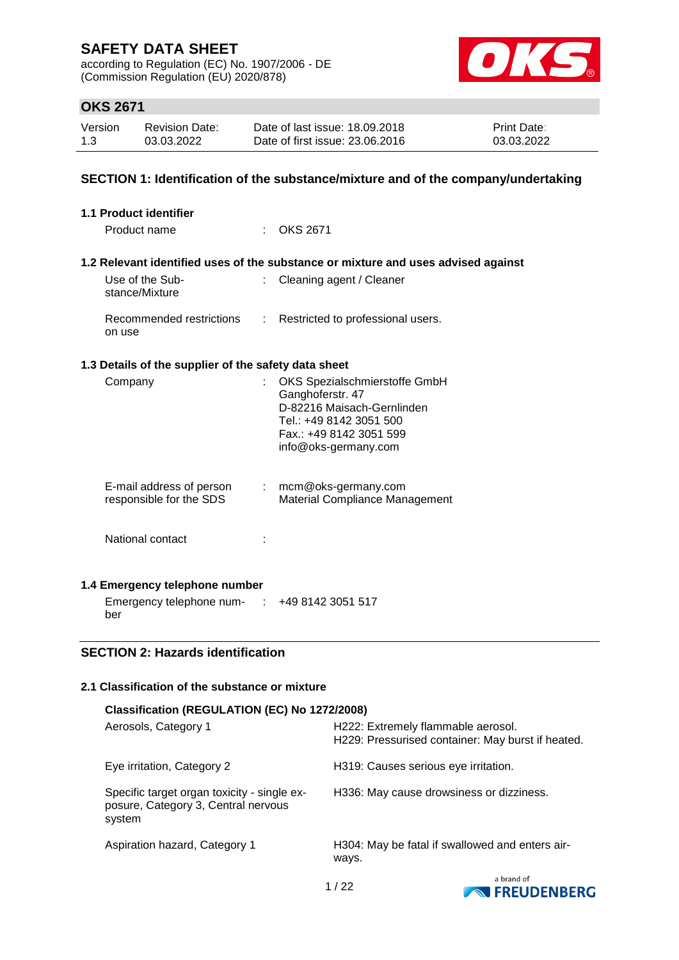according to Regulation (EC) No. 1907/2006 - DE (Commission Regulation (EU) 2020/878)



## **OKS 2671**

| Version | <b>Revision Date:</b> | Date of last issue: 18.09.2018  | <b>Print Date:</b> |
|---------|-----------------------|---------------------------------|--------------------|
| 1.3     | 03.03.2022            | Date of first issue: 23,06,2016 | 03.03.2022         |

### **SECTION 1: Identification of the substance/mixture and of the company/undertaking**

| 1.1 Product identifier                               |                                                                                                                                                               |
|------------------------------------------------------|---------------------------------------------------------------------------------------------------------------------------------------------------------------|
| Product name                                         | <b>OKS 2671</b>                                                                                                                                               |
|                                                      | 1.2 Relevant identified uses of the substance or mixture and uses advised against                                                                             |
| Use of the Sub-<br>÷.<br>stance/Mixture              | Cleaning agent / Cleaner                                                                                                                                      |
| Recommended restrictions :<br>on use                 | Restricted to professional users.                                                                                                                             |
| 1.3 Details of the supplier of the safety data sheet |                                                                                                                                                               |
| Company                                              | OKS Spezialschmierstoffe GmbH<br>Ganghoferstr. 47<br>D-82216 Maisach-Gernlinden<br>Tel.: +49 8142 3051 500<br>Fax.: +49 8142 3051 599<br>info@oks-germany.com |
| E-mail address of person<br>responsible for the SDS  | : mcm@oks-germany.com<br><b>Material Compliance Management</b>                                                                                                |
| National contact                                     |                                                                                                                                                               |
| 1.4 Emergency telephone number                       |                                                                                                                                                               |
| Emergency telephone num-                             | +49 8142 3051 517                                                                                                                                             |

### **SECTION 2: Hazards identification**

ber

### **2.1 Classification of the substance or mixture**

| Classification (REGULATION (EC) No 1272/2008)                                                |                                                                                         |  |  |  |
|----------------------------------------------------------------------------------------------|-----------------------------------------------------------------------------------------|--|--|--|
| Aerosols, Category 1                                                                         | H222: Extremely flammable aerosol.<br>H229: Pressurised container: May burst if heated. |  |  |  |
| Eye irritation, Category 2                                                                   | H319: Causes serious eye irritation.                                                    |  |  |  |
| Specific target organ toxicity - single ex-<br>posure, Category 3, Central nervous<br>system | H336: May cause drowsiness or dizziness.                                                |  |  |  |
| Aspiration hazard, Category 1                                                                | H304: May be fatal if swallowed and enters air-<br>ways.                                |  |  |  |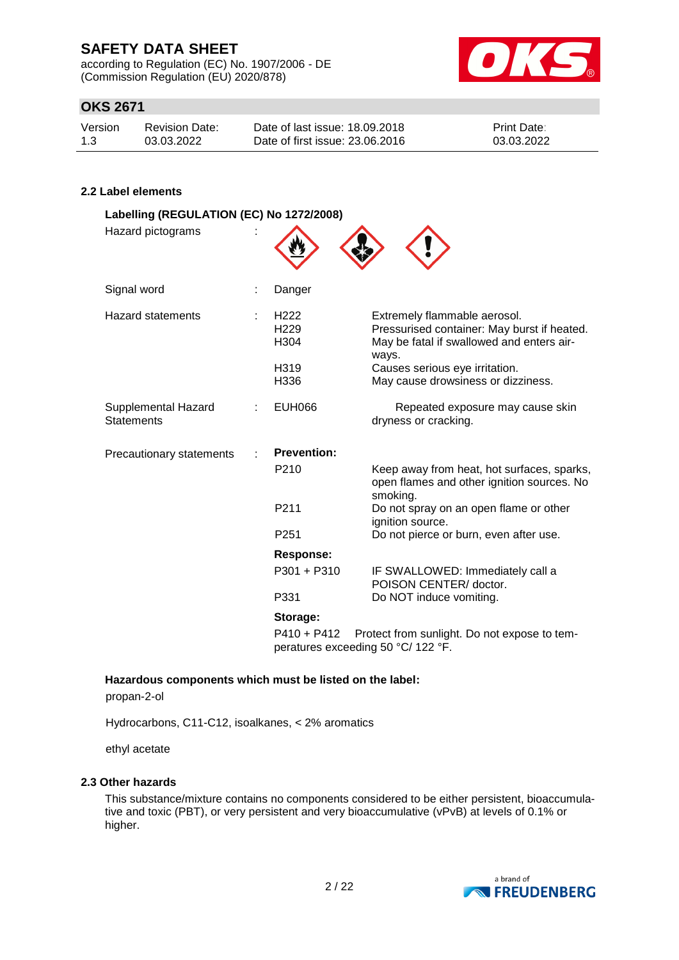according to Regulation (EC) No. 1907/2006 - DE (Commission Regulation (EU) 2020/878)



## **OKS 2671**

| Version | <b>Revision Date:</b> | Date of last issue: 18,09,2018  | <b>Print Date:</b> |
|---------|-----------------------|---------------------------------|--------------------|
| 1.3     | 03.03.2022            | Date of first issue: 23.06.2016 | 03.03.2022         |

### **2.2 Label elements**

| Danger                                                   |                                                                                                                                   |
|----------------------------------------------------------|-----------------------------------------------------------------------------------------------------------------------------------|
| H <sub>222</sub><br>H <sub>229</sub><br>H <sub>304</sub> | Extremely flammable aerosol.<br>Pressurised container: May burst if heated.<br>May be fatal if swallowed and enters air-<br>ways. |
| H319<br>H336                                             | Causes serious eye irritation.<br>May cause drowsiness or dizziness.                                                              |
| <b>EUH066</b>                                            | Repeated exposure may cause skin<br>dryness or cracking.                                                                          |
| <b>Prevention:</b>                                       |                                                                                                                                   |
| P <sub>210</sub>                                         | Keep away from heat, hot surfaces, sparks,<br>open flames and other ignition sources. No<br>smoking.                              |
| P211                                                     | Do not spray on an open flame or other<br>ignition source.                                                                        |
| P251                                                     | Do not pierce or burn, even after use.                                                                                            |
| <b>Response:</b>                                         |                                                                                                                                   |
| P301 + P310                                              | IF SWALLOWED: Immediately call a<br>POISON CENTER/ doctor.                                                                        |
| P331                                                     | Do NOT induce vomiting.                                                                                                           |
| Storage:                                                 |                                                                                                                                   |
|                                                          | Labelling (REGULATION (EC) No 1272/2008)                                                                                          |

P410 + P412 Protect from sunlight. Do not expose to temperatures exceeding 50 °C/ 122 °F.

**Hazardous components which must be listed on the label:**

propan-2-ol

Hydrocarbons, C11-C12, isoalkanes, < 2% aromatics

ethyl acetate

### **2.3 Other hazards**

This substance/mixture contains no components considered to be either persistent, bioaccumulative and toxic (PBT), or very persistent and very bioaccumulative (vPvB) at levels of 0.1% or higher.

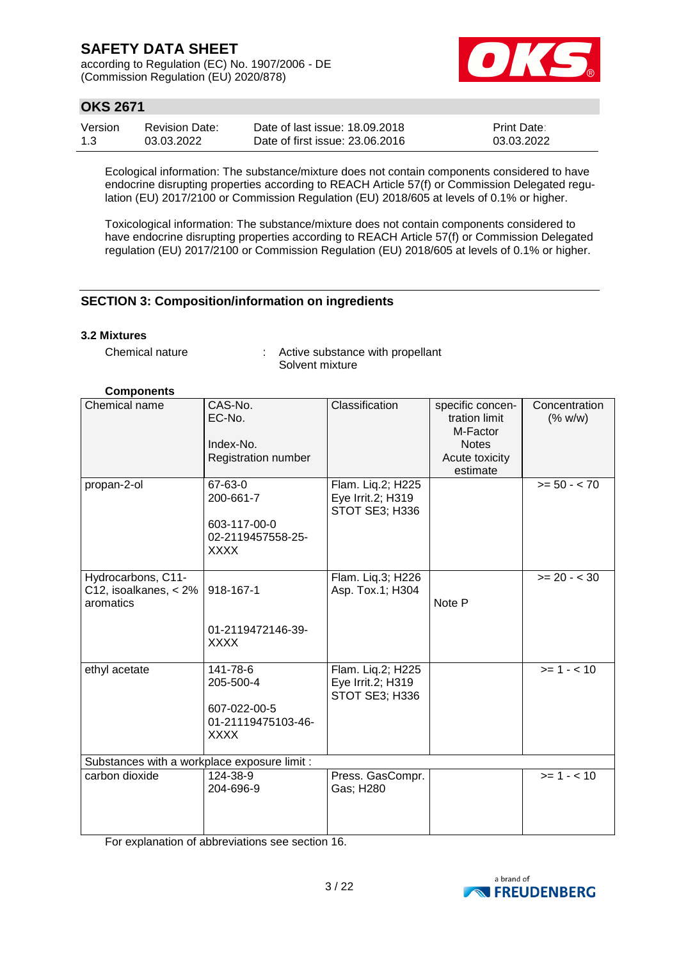according to Regulation (EC) No. 1907/2006 - DE (Commission Regulation (EU) 2020/878)



## **OKS 2671**

| Version | <b>Revision Date:</b> | Date of last issue: 18.09.2018  | <b>Print Date:</b> |
|---------|-----------------------|---------------------------------|--------------------|
| 1.3     | 03.03.2022            | Date of first issue: 23,06,2016 | 03.03.2022         |

Ecological information: The substance/mixture does not contain components considered to have endocrine disrupting properties according to REACH Article 57(f) or Commission Delegated regulation (EU) 2017/2100 or Commission Regulation (EU) 2018/605 at levels of 0.1% or higher.

Toxicological information: The substance/mixture does not contain components considered to have endocrine disrupting properties according to REACH Article 57(f) or Commission Delegated regulation (EU) 2017/2100 or Commission Regulation (EU) 2018/605 at levels of 0.1% or higher.

### **SECTION 3: Composition/information on ingredients**

#### **3.2 Mixtures**

Chemical nature : Active substance with propellant Solvent mixture

#### **Components**

| Chemical name                                            | CAS-No.<br>EC-No.<br>Index-No.<br>Registration number                      | Classification                                           | specific concen-<br>tration limit<br>M-Factor<br><b>Notes</b><br>Acute toxicity<br>estimate | Concentration<br>(% w/w) |
|----------------------------------------------------------|----------------------------------------------------------------------------|----------------------------------------------------------|---------------------------------------------------------------------------------------------|--------------------------|
| propan-2-ol                                              | 67-63-0<br>200-661-7<br>603-117-00-0<br>02-2119457558-25-<br><b>XXXX</b>   | Flam. Liq.2; H225<br>Eye Irrit.2; H319<br>STOT SE3; H336 |                                                                                             | $>= 50 - < 70$           |
| Hydrocarbons, C11-<br>C12, isoalkanes, < 2%<br>aromatics | 918-167-1<br>01-2119472146-39-<br><b>XXXX</b>                              | Flam. Liq.3; H226<br>Asp. Tox.1; H304                    | Note P                                                                                      | $>= 20 - < 30$           |
| ethyl acetate                                            | 141-78-6<br>205-500-4<br>607-022-00-5<br>01-21119475103-46-<br><b>XXXX</b> | Flam. Liq.2; H225<br>Eye Irrit.2; H319<br>STOT SE3; H336 |                                                                                             | $>= 1 - 10$              |
| Substances with a workplace exposure limit :             |                                                                            |                                                          |                                                                                             |                          |
| carbon dioxide                                           | 124-38-9<br>204-696-9                                                      | Press. GasCompr.<br>Gas; H280                            |                                                                                             | $>= 1 - 10$              |

For explanation of abbreviations see section 16.

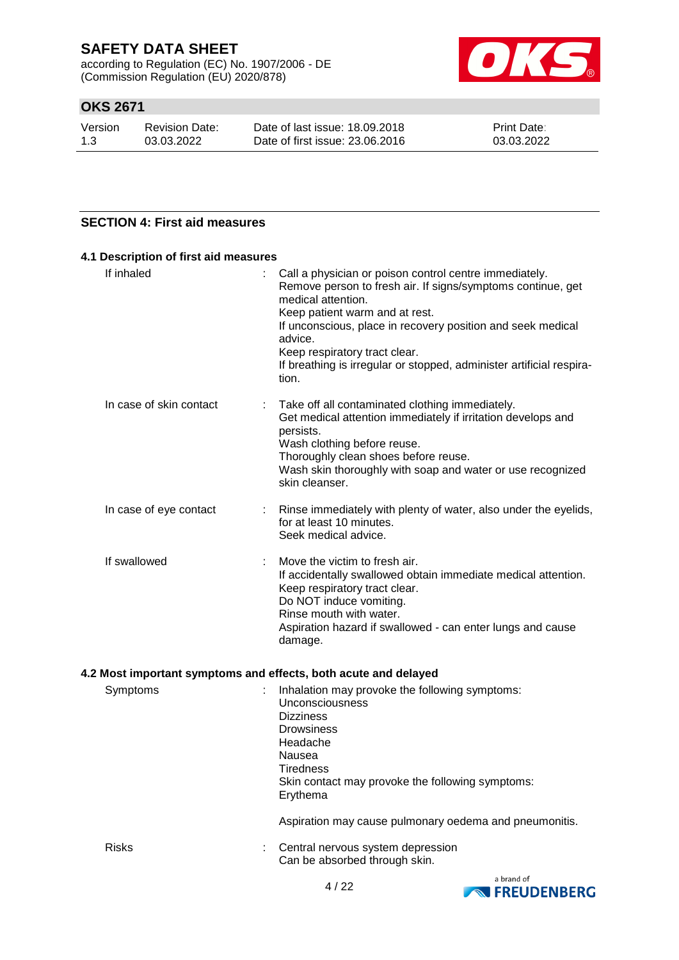according to Regulation (EC) No. 1907/2006 - DE (Commission Regulation (EU) 2020/878)



## **OKS 2671**

| Version | Revision Date: | Date of last issue: 18,09,2018  | <b>Print Date:</b> |
|---------|----------------|---------------------------------|--------------------|
| 1.3     | 03.03.2022     | Date of first issue: 23,06,2016 | 03.03.2022         |

### **SECTION 4: First aid measures**

| Call a physician or poison control centre immediately.<br>÷<br>Remove person to fresh air. If signs/symptoms continue, get<br>medical attention.<br>Keep patient warm and at rest.<br>If unconscious, place in recovery position and seek medical<br>advice.<br>Keep respiratory tract clear.<br>If breathing is irregular or stopped, administer artificial respira-<br>tion. |
|--------------------------------------------------------------------------------------------------------------------------------------------------------------------------------------------------------------------------------------------------------------------------------------------------------------------------------------------------------------------------------|
| Take off all contaminated clothing immediately.<br>t<br>Get medical attention immediately if irritation develops and<br>persists.<br>Wash clothing before reuse.<br>Thoroughly clean shoes before reuse.<br>Wash skin thoroughly with soap and water or use recognized<br>skin cleanser.                                                                                       |
| Rinse immediately with plenty of water, also under the eyelids,<br>for at least 10 minutes.<br>Seek medical advice.                                                                                                                                                                                                                                                            |
| Move the victim to fresh air.<br>If accidentally swallowed obtain immediate medical attention.<br>Keep respiratory tract clear.<br>Do NOT induce vomiting.<br>Rinse mouth with water.<br>Aspiration hazard if swallowed - can enter lungs and cause<br>damage.                                                                                                                 |
|                                                                                                                                                                                                                                                                                                                                                                                |

| Symptoms     | Inhalation may provoke the following symptoms:<br>Unconsciousness<br><b>Dizziness</b><br><b>Drowsiness</b><br>Headache<br>Nausea<br>Tiredness<br>Skin contact may provoke the following symptoms:<br>Erythema |
|--------------|---------------------------------------------------------------------------------------------------------------------------------------------------------------------------------------------------------------|
|              | Aspiration may cause pulmonary oedema and pneumonitis.                                                                                                                                                        |
| <b>Risks</b> | Central nervous system depression<br>Can be absorbed through skin.                                                                                                                                            |

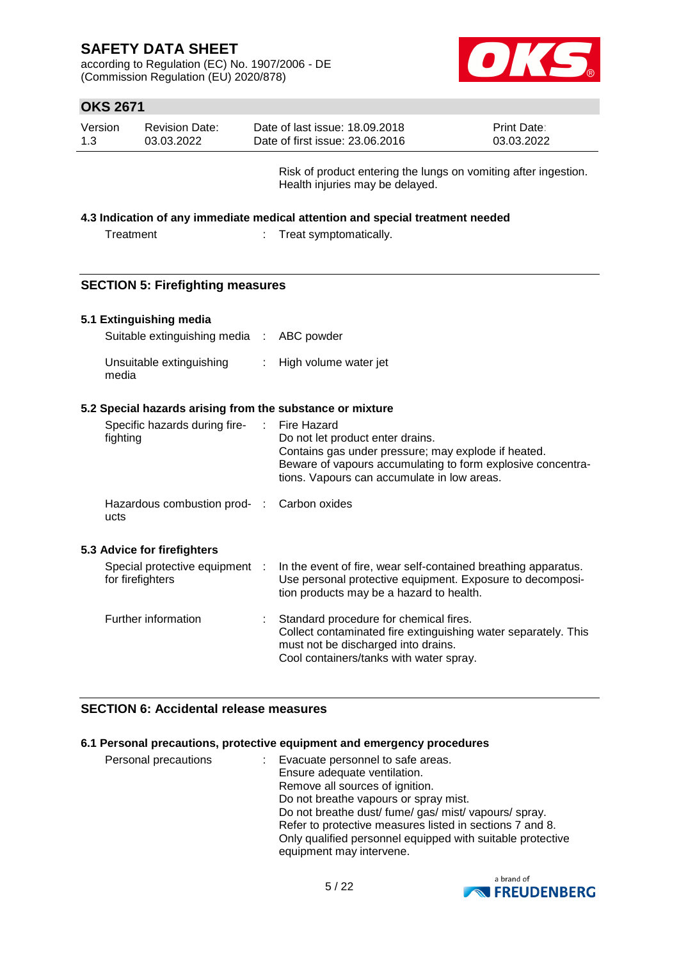according to Regulation (EC) No. 1907/2006 - DE (Commission Regulation (EU) 2020/878)



## **OKS 2671**

| Version | <b>Revision Date:</b> | Date of last issue: 18.09.2018  | <b>Print Date:</b> |
|---------|-----------------------|---------------------------------|--------------------|
| 1.3     | 03.03.2022            | Date of first issue: 23,06,2016 | 03.03.2022         |

Risk of product entering the lungs on vomiting after ingestion. Health injuries may be delayed.

### **4.3 Indication of any immediate medical attention and special treatment needed**

| Treatment |  |
|-----------|--|
|-----------|--|

: Treat symptomatically.

### **SECTION 5: Firefighting measures**

### **5.1 Extinguishing media**

| Suitable extinguishing media : ABC powder |                         |
|-------------------------------------------|-------------------------|
| Unsuitable extinguishing<br>media         | : High volume water jet |

#### **5.2 Special hazards arising from the substance or mixture**

| Specific hazards during fire-<br>fighting          | Fire Hazard<br>Do not let product enter drains.<br>Contains gas under pressure; may explode if heated.<br>Beware of vapours accumulating to form explosive concentra-<br>tions. Vapours can accumulate in low areas. |
|----------------------------------------------------|----------------------------------------------------------------------------------------------------------------------------------------------------------------------------------------------------------------------|
| Hazardous combustion prod- : Carbon oxides<br>ucts |                                                                                                                                                                                                                      |
| 5.3 Advice for firefighters                        |                                                                                                                                                                                                                      |
| Special protective equipment :<br>for firefighters | In the event of fire, wear self-contained breathing apparatus.<br>Use personal protective equipment. Exposure to decomposi-<br>tion products may be a hazard to health.                                              |
| Further information                                | Standard procedure for chemical fires.<br>Collect contaminated fire extinguishing water separately. This<br>must not be discharged into drains.<br>Cool containers/tanks with water spray.                           |

### **SECTION 6: Accidental release measures**

### **6.1 Personal precautions, protective equipment and emergency procedures**

| Evacuate personnel to safe areas.                          |
|------------------------------------------------------------|
| Ensure adequate ventilation.                               |
| Remove all sources of ignition.                            |
| Do not breathe vapours or spray mist.                      |
| Do not breathe dust/ fume/ gas/ mist/ vapours/ spray.      |
| Refer to protective measures listed in sections 7 and 8.   |
| Only qualified personnel equipped with suitable protective |
| equipment may intervene.                                   |
|                                                            |

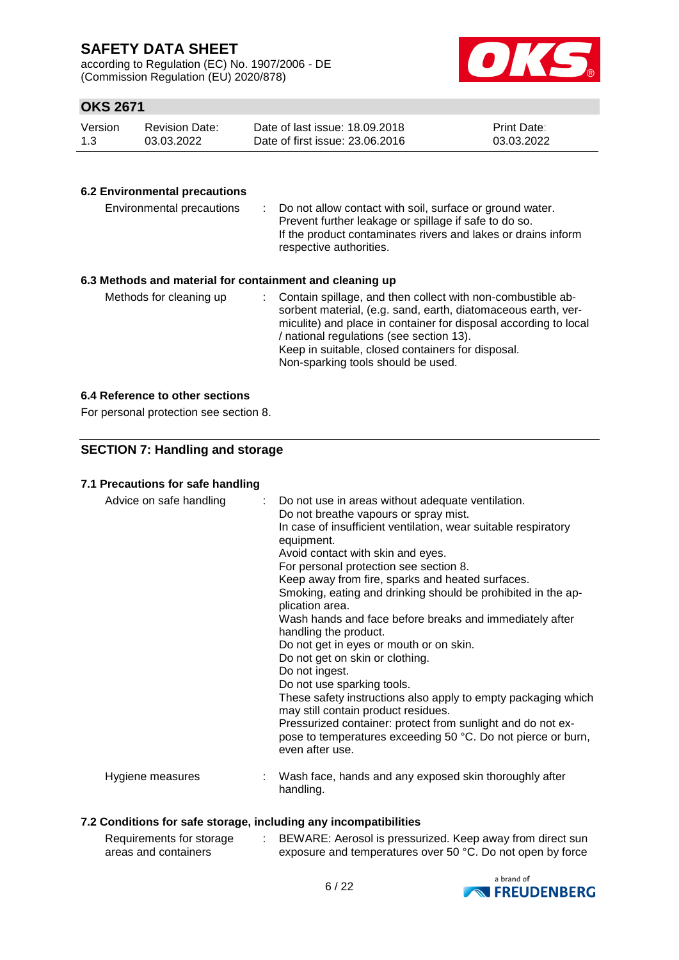according to Regulation (EC) No. 1907/2006 - DE (Commission Regulation (EU) 2020/878)



## **OKS 2671**

| Version | <b>Revision Date:</b> | Date of last issue: 18.09.2018  | <b>Print Date:</b> |
|---------|-----------------------|---------------------------------|--------------------|
| 1.3     | 03.03.2022            | Date of first issue: 23,06,2016 | 03.03.2022         |

### **6.2 Environmental precautions**

| Environmental precautions                                     | : Do not allow contact with soil, surface or ground water.<br>Prevent further leakage or spillage if safe to do so.<br>If the product contaminates rivers and lakes or drains inform<br>respective authorities. |
|---------------------------------------------------------------|-----------------------------------------------------------------------------------------------------------------------------------------------------------------------------------------------------------------|
| ∖ A Bliadh a da an duineachd fan condahnn and an dodainn an h |                                                                                                                                                                                                                 |

### **6.3 Methods and material for containment and cleaning up**

| Methods for cleaning up |  | : Contain spillage, and then collect with non-combustible ab-<br>sorbent material, (e.g. sand, earth, diatomaceous earth, ver-<br>miculite) and place in container for disposal according to local<br>/ national regulations (see section 13).<br>Keep in suitable, closed containers for disposal.<br>Non-sparking tools should be used. |
|-------------------------|--|-------------------------------------------------------------------------------------------------------------------------------------------------------------------------------------------------------------------------------------------------------------------------------------------------------------------------------------------|
|-------------------------|--|-------------------------------------------------------------------------------------------------------------------------------------------------------------------------------------------------------------------------------------------------------------------------------------------------------------------------------------------|

### **6.4 Reference to other sections**

For personal protection see section 8.

### **SECTION 7: Handling and storage**

### **7.1 Precautions for safe handling**

| Advice on safe handling | : Do not use in areas without adequate ventilation.<br>Do not breathe vapours or spray mist.<br>In case of insufficient ventilation, wear suitable respiratory<br>equipment.<br>Avoid contact with skin and eyes.<br>For personal protection see section 8.<br>Keep away from fire, sparks and heated surfaces.<br>Smoking, eating and drinking should be prohibited in the ap-<br>plication area.<br>Wash hands and face before breaks and immediately after<br>handling the product.<br>Do not get in eyes or mouth or on skin.<br>Do not get on skin or clothing.<br>Do not ingest.<br>Do not use sparking tools.<br>These safety instructions also apply to empty packaging which<br>may still contain product residues.<br>Pressurized container: protect from sunlight and do not ex-<br>pose to temperatures exceeding 50 °C. Do not pierce or burn,<br>even after use. |
|-------------------------|--------------------------------------------------------------------------------------------------------------------------------------------------------------------------------------------------------------------------------------------------------------------------------------------------------------------------------------------------------------------------------------------------------------------------------------------------------------------------------------------------------------------------------------------------------------------------------------------------------------------------------------------------------------------------------------------------------------------------------------------------------------------------------------------------------------------------------------------------------------------------------|
| Hygiene measures        | Wash face, hands and any exposed skin thoroughly after<br>handling.                                                                                                                                                                                                                                                                                                                                                                                                                                                                                                                                                                                                                                                                                                                                                                                                            |

### **7.2 Conditions for safe storage, including any incompatibilities**

| Requirements for storage | BEWARE: Aerosol is pressurized. Keep away from direct sun  |
|--------------------------|------------------------------------------------------------|
| areas and containers     | exposure and temperatures over 50 °C. Do not open by force |

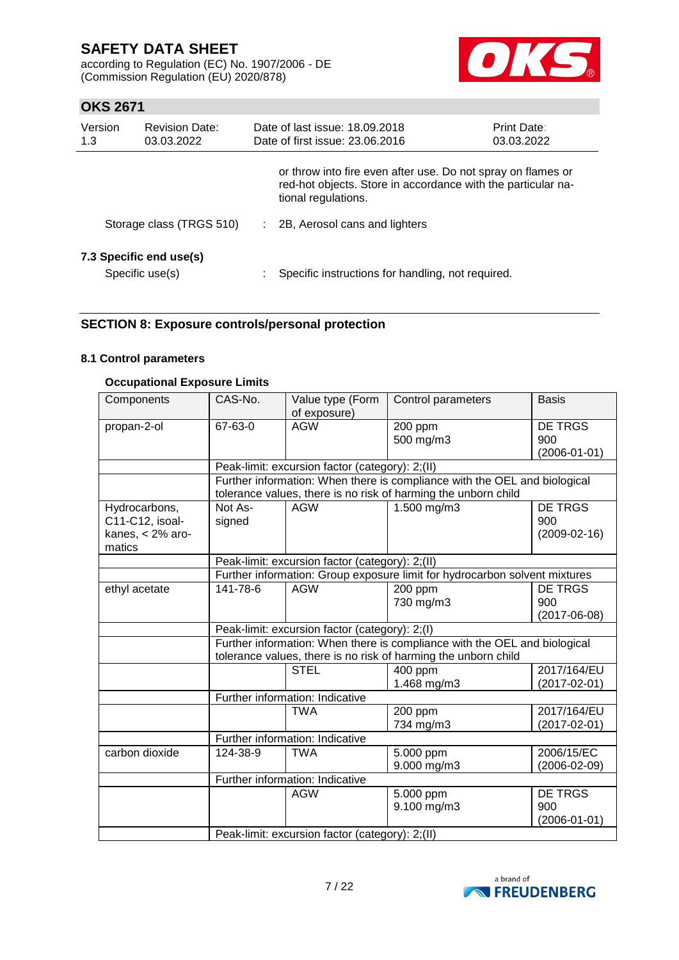according to Regulation (EC) No. 1907/2006 - DE (Commission Regulation (EU) 2020/878)



## **OKS 2671**

| Version<br>1.3 | <b>Revision Date:</b><br>03.03.2022        | Date of last issue: 18.09.2018<br>Date of first issue: 23,06,2016                                                                                   | <b>Print Date:</b><br>03.03.2022 |
|----------------|--------------------------------------------|-----------------------------------------------------------------------------------------------------------------------------------------------------|----------------------------------|
|                |                                            | or throw into fire even after use. Do not spray on flames or<br>red-hot objects. Store in accordance with the particular na-<br>tional regulations. |                                  |
|                | Storage class (TRGS 510)                   | : 2B, Aerosol cans and lighters                                                                                                                     |                                  |
|                | 7.3 Specific end use(s)<br>Specific use(s) | Specific instructions for handling, not required.                                                                                                   |                                  |

### **SECTION 8: Exposure controls/personal protection**

### **8.1 Control parameters**

### **Occupational Exposure Limits**

| Components         | CAS-No.                                                        | Value type (Form<br>of exposure)                | Control parameters                                                         | <b>Basis</b>                                |
|--------------------|----------------------------------------------------------------|-------------------------------------------------|----------------------------------------------------------------------------|---------------------------------------------|
| propan-2-ol        | 67-63-0                                                        | <b>AGW</b>                                      | 200 ppm<br>500 mg/m3                                                       | <b>DE TRGS</b><br>900<br>$(2006 - 01 - 01)$ |
|                    |                                                                | Peak-limit: excursion factor (category): 2;(II) |                                                                            |                                             |
|                    |                                                                |                                                 | Further information: When there is compliance with the OEL and biological  |                                             |
|                    |                                                                |                                                 | tolerance values, there is no risk of harming the unborn child             |                                             |
| Hydrocarbons,      | Not As-                                                        | <b>AGW</b>                                      | 1.500 mg/m3                                                                | <b>DE TRGS</b>                              |
| C11-C12, isoal-    | signed                                                         |                                                 |                                                                            | 900                                         |
| kanes, $<$ 2% aro- |                                                                |                                                 |                                                                            | $(2009 - 02 - 16)$                          |
| matics             |                                                                |                                                 |                                                                            |                                             |
|                    |                                                                | Peak-limit: excursion factor (category): 2;(II) |                                                                            |                                             |
|                    |                                                                |                                                 | Further information: Group exposure limit for hydrocarbon solvent mixtures |                                             |
| ethyl acetate      | 141-78-6                                                       | <b>AGW</b>                                      | 200 ppm<br>730 mg/m3                                                       | DE TRGS<br>900<br>$(2017 - 06 - 08)$        |
|                    | Peak-limit: excursion factor (category): 2;(I)                 |                                                 |                                                                            |                                             |
|                    |                                                                |                                                 | Further information: When there is compliance with the OEL and biological  |                                             |
|                    | tolerance values, there is no risk of harming the unborn child |                                                 |                                                                            |                                             |
|                    |                                                                | <b>STEL</b>                                     | 400 ppm<br>1.468 mg/m3                                                     | 2017/164/EU<br>$(2017 - 02 - 01)$           |
|                    |                                                                | Further information: Indicative                 |                                                                            |                                             |
|                    |                                                                | <b>TWA</b>                                      | 200 ppm<br>734 mg/m3                                                       | 2017/164/EU<br>$(2017 - 02 - 01)$           |
|                    |                                                                | Further information: Indicative                 |                                                                            |                                             |
| carbon dioxide     | 124-38-9                                                       | <b>TWA</b>                                      | 5.000 ppm                                                                  | 2006/15/EC                                  |
|                    |                                                                |                                                 | 9.000 mg/m3                                                                | $(2006 - 02 - 09)$                          |
|                    |                                                                | Further information: Indicative                 |                                                                            |                                             |
|                    |                                                                | <b>AGW</b>                                      | 5.000 ppm                                                                  | <b>DE TRGS</b>                              |
|                    |                                                                |                                                 | 9.100 mg/m3                                                                | 900<br>$(2006 - 01 - 01)$                   |
|                    |                                                                | Peak-limit: excursion factor (category): 2;(II) |                                                                            |                                             |

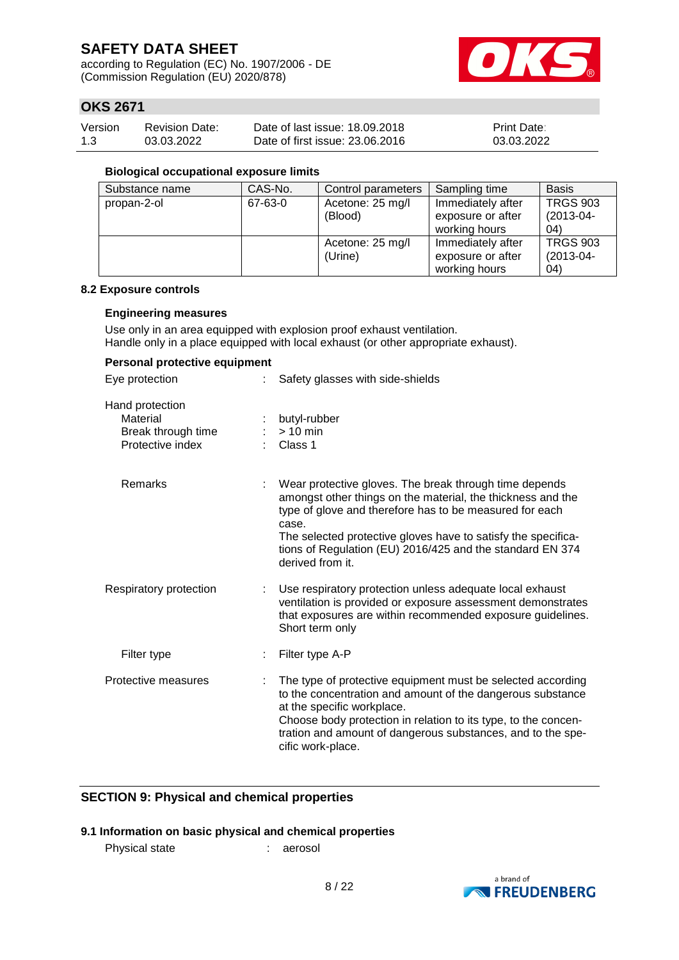according to Regulation (EC) No. 1907/2006 - DE (Commission Regulation (EU) 2020/878)



## **OKS 2671**

| Version | <b>Revision Date:</b> | Date of last issue: 18.09.2018  | <b>Print Date:</b> |
|---------|-----------------------|---------------------------------|--------------------|
| 1.3     | 03.03.2022            | Date of first issue: 23,06,2016 | 03.03.2022         |

#### **Biological occupational exposure limits**

| Substance name | CAS-No. | Control parameters | Sampling time     | <b>Basis</b>    |
|----------------|---------|--------------------|-------------------|-----------------|
| propan-2-ol    | 67-63-0 | Acetone: 25 mg/l   | Immediately after | <b>TRGS 903</b> |
|                |         | (Blood)            | exposure or after | $(2013-04-$     |
|                |         |                    | working hours     | 04)             |
|                |         | Acetone: 25 mg/l   | Immediately after | <b>TRGS 903</b> |
|                |         | (Urine)            | exposure or after | $(2013-04-$     |
|                |         |                    | working hours     | 04)             |

#### **8.2 Exposure controls**

#### **Engineering measures**

Use only in an area equipped with explosion proof exhaust ventilation. Handle only in a place equipped with local exhaust (or other appropriate exhaust).

### **Personal protective equipment**

| Eye protection                                                        |    | Safety glasses with side-shields                                                                                                                                                                                                                                                                                                            |
|-----------------------------------------------------------------------|----|---------------------------------------------------------------------------------------------------------------------------------------------------------------------------------------------------------------------------------------------------------------------------------------------------------------------------------------------|
| Hand protection<br>Material<br>Break through time<br>Protective index |    | butyl-rubber<br>$> 10$ min<br>Class 1                                                                                                                                                                                                                                                                                                       |
| Remarks                                                               |    | Wear protective gloves. The break through time depends<br>amongst other things on the material, the thickness and the<br>type of glove and therefore has to be measured for each<br>case.<br>The selected protective gloves have to satisfy the specifica-<br>tions of Regulation (EU) 2016/425 and the standard EN 374<br>derived from it. |
| Respiratory protection                                                | t. | Use respiratory protection unless adequate local exhaust<br>ventilation is provided or exposure assessment demonstrates<br>that exposures are within recommended exposure guidelines.<br>Short term only                                                                                                                                    |
| Filter type                                                           |    | Filter type A-P                                                                                                                                                                                                                                                                                                                             |
| Protective measures                                                   |    | The type of protective equipment must be selected according<br>to the concentration and amount of the dangerous substance<br>at the specific workplace.<br>Choose body protection in relation to its type, to the concen-<br>tration and amount of dangerous substances, and to the spe-<br>cific work-place.                               |

### **SECTION 9: Physical and chemical properties**

### **9.1 Information on basic physical and chemical properties**

Physical state : aerosol

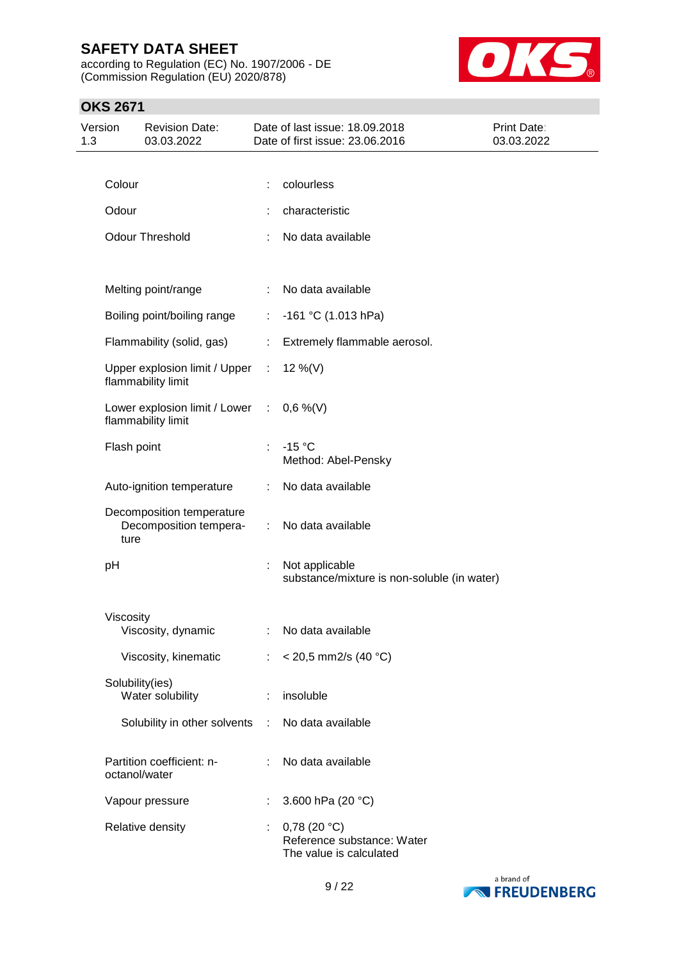according to Regulation (EC) No. 1907/2006 - DE (Commission Regulation (EU) 2020/878)



## **OKS 2671**

| Version<br>1.3 |                 | <b>Revision Date:</b><br>03.03.2022                 |    | Date of last issue: 18.09.2018<br>Date of first issue: 23.06.2016       | Print Date:<br>03.03.2022 |
|----------------|-----------------|-----------------------------------------------------|----|-------------------------------------------------------------------------|---------------------------|
|                |                 |                                                     |    |                                                                         |                           |
|                | Colour          |                                                     |    | colourless                                                              |                           |
|                | Odour           |                                                     |    | characteristic                                                          |                           |
|                |                 | <b>Odour Threshold</b>                              |    | No data available                                                       |                           |
|                |                 | Melting point/range                                 | ÷  | No data available                                                       |                           |
|                |                 | Boiling point/boiling range                         | ÷. | $-161$ °C (1.013 hPa)                                                   |                           |
|                |                 | Flammability (solid, gas)                           | ÷  | Extremely flammable aerosol.                                            |                           |
|                |                 | Upper explosion limit / Upper<br>flammability limit | ÷  | 12 %(V)                                                                 |                           |
|                |                 | Lower explosion limit / Lower<br>flammability limit | ÷  | $0,6\%$ (V)                                                             |                           |
|                | Flash point     |                                                     |    | $-15 °C$<br>Method: Abel-Pensky                                         |                           |
|                |                 | Auto-ignition temperature                           |    | No data available                                                       |                           |
|                | ture            | Decomposition temperature<br>Decomposition tempera- | ÷  | No data available                                                       |                           |
|                | pH              |                                                     | ÷  | Not applicable<br>substance/mixture is non-soluble (in water)           |                           |
|                | Viscosity       |                                                     |    |                                                                         |                           |
|                |                 | Viscosity, dynamic                                  |    | : No data available                                                     |                           |
|                |                 | Viscosity, kinematic                                | ÷  | $<$ 20,5 mm2/s (40 °C)                                                  |                           |
|                | Solubility(ies) | Water solubility                                    | ÷  | insoluble                                                               |                           |
|                |                 | Solubility in other solvents                        | ÷  | No data available                                                       |                           |
|                | octanol/water   | Partition coefficient: n-                           |    | No data available                                                       |                           |
|                |                 | Vapour pressure                                     | ÷  | 3.600 hPa (20 °C)                                                       |                           |
|                |                 | Relative density                                    |    | $0,78$ (20 °C)<br>Reference substance: Water<br>The value is calculated |                           |

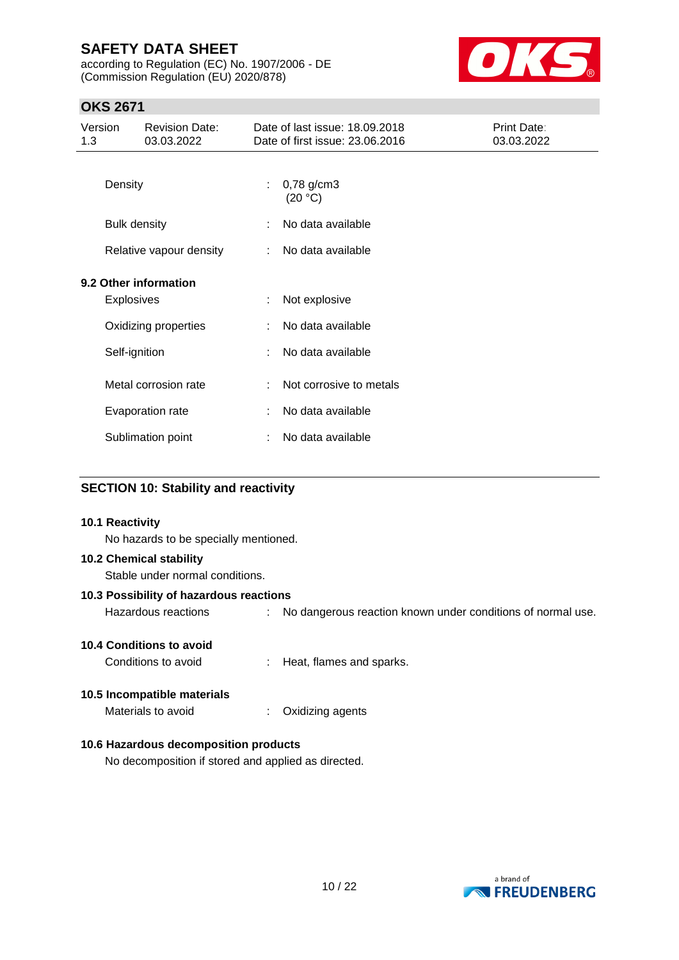according to Regulation (EC) No. 1907/2006 - DE (Commission Regulation (EU) 2020/878)



## **OKS 2671**

| Version<br>1.3 |                     | <b>Revision Date:</b><br>03.03.2022 |   | Date of last issue: 18.09.2018<br>Date of first issue: 23.06.2016 | Print Date:<br>03.03.2022 |
|----------------|---------------------|-------------------------------------|---|-------------------------------------------------------------------|---------------------------|
|                | Density             |                                     |   | $0,78$ g/cm3<br>(20 °C)                                           |                           |
|                | <b>Bulk density</b> |                                     |   | No data available                                                 |                           |
|                |                     | Relative vapour density             |   | No data available                                                 |                           |
|                |                     | 9.2 Other information               |   |                                                                   |                           |
|                | <b>Explosives</b>   |                                     | ÷ | Not explosive                                                     |                           |
|                |                     | Oxidizing properties                |   | No data available                                                 |                           |
|                | Self-ignition       |                                     |   | No data available                                                 |                           |
|                |                     | Metal corrosion rate                |   | Not corrosive to metals                                           |                           |
|                |                     | Evaporation rate                    |   | No data available                                                 |                           |
|                |                     | Sublimation point                   |   | No data available                                                 |                           |

### **SECTION 10: Stability and reactivity**

# **10.1 Reactivity** No hazards to be specially mentioned. **10.2 Chemical stability** Stable under normal conditions. **10.3 Possibility of hazardous reactions** Hazardous reactions : No dangerous reaction known under conditions of normal use. **10.4 Conditions to avoid** Conditions to avoid : Heat, flames and sparks. **10.5 Incompatible materials** Materials to avoid : Oxidizing agents **10.6 Hazardous decomposition products** No decomposition if stored and applied as directed.

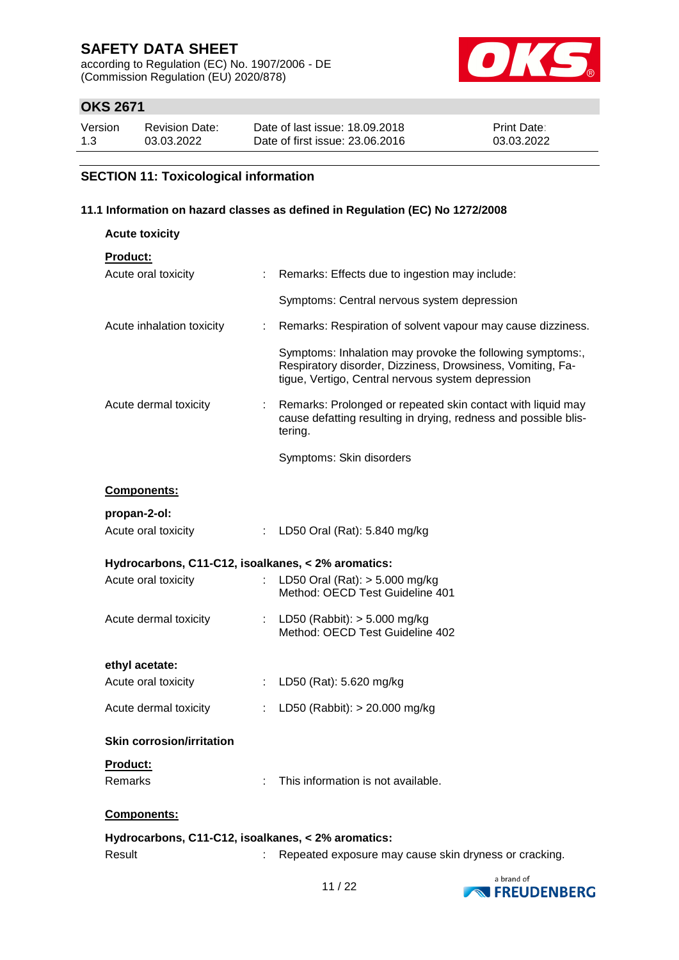according to Regulation (EC) No. 1907/2006 - DE (Commission Regulation (EU) 2020/878)



## **OKS 2671**

| Version | <b>Revision Date:</b> | Date of last issue: 18.09.2018  | <b>Print Date:</b> |
|---------|-----------------------|---------------------------------|--------------------|
| 1.3     | 03.03.2022            | Date of first issue: 23,06,2016 | 03.03.2022         |

## **SECTION 11: Toxicological information**

### **11.1 Information on hazard classes as defined in Regulation (EC) No 1272/2008**

| <b>Acute toxicity</b>                              |    |                                                                                                                                                                              |
|----------------------------------------------------|----|------------------------------------------------------------------------------------------------------------------------------------------------------------------------------|
| Product:                                           |    |                                                                                                                                                                              |
| Acute oral toxicity                                | ÷. | Remarks: Effects due to ingestion may include:                                                                                                                               |
|                                                    |    | Symptoms: Central nervous system depression                                                                                                                                  |
| Acute inhalation toxicity                          | ÷. | Remarks: Respiration of solvent vapour may cause dizziness.                                                                                                                  |
|                                                    |    | Symptoms: Inhalation may provoke the following symptoms:,<br>Respiratory disorder, Dizziness, Drowsiness, Vomiting, Fa-<br>tigue, Vertigo, Central nervous system depression |
| Acute dermal toxicity                              |    | Remarks: Prolonged or repeated skin contact with liquid may<br>cause defatting resulting in drying, redness and possible blis-<br>tering.                                    |
|                                                    |    | Symptoms: Skin disorders                                                                                                                                                     |
| Components:                                        |    |                                                                                                                                                                              |
| propan-2-ol:                                       |    |                                                                                                                                                                              |
| Acute oral toxicity                                | ÷. | LD50 Oral (Rat): 5.840 mg/kg                                                                                                                                                 |
|                                                    |    |                                                                                                                                                                              |
| Hydrocarbons, C11-C12, isoalkanes, < 2% aromatics: |    |                                                                                                                                                                              |
| Acute oral toxicity                                | t. | LD50 Oral (Rat): $>$ 5.000 mg/kg<br>Method: OECD Test Guideline 401                                                                                                          |
| Acute dermal toxicity                              |    | : LD50 (Rabbit): $> 5.000$ mg/kg<br>Method: OECD Test Guideline 402                                                                                                          |
|                                                    |    |                                                                                                                                                                              |
| ethyl acetate:<br>Acute oral toxicity              |    | : LD50 (Rat): 5.620 mg/kg                                                                                                                                                    |
| Acute dermal toxicity                              | t. | LD50 (Rabbit): > 20.000 mg/kg                                                                                                                                                |
| <b>Skin corrosion/irritation</b>                   |    |                                                                                                                                                                              |
| <b>Product:</b>                                    |    |                                                                                                                                                                              |
| Remarks                                            |    | This information is not available.                                                                                                                                           |
| Components:                                        |    |                                                                                                                                                                              |
| Hydrocarbons, C11-C12, isoalkanes, < 2% aromatics: |    |                                                                                                                                                                              |

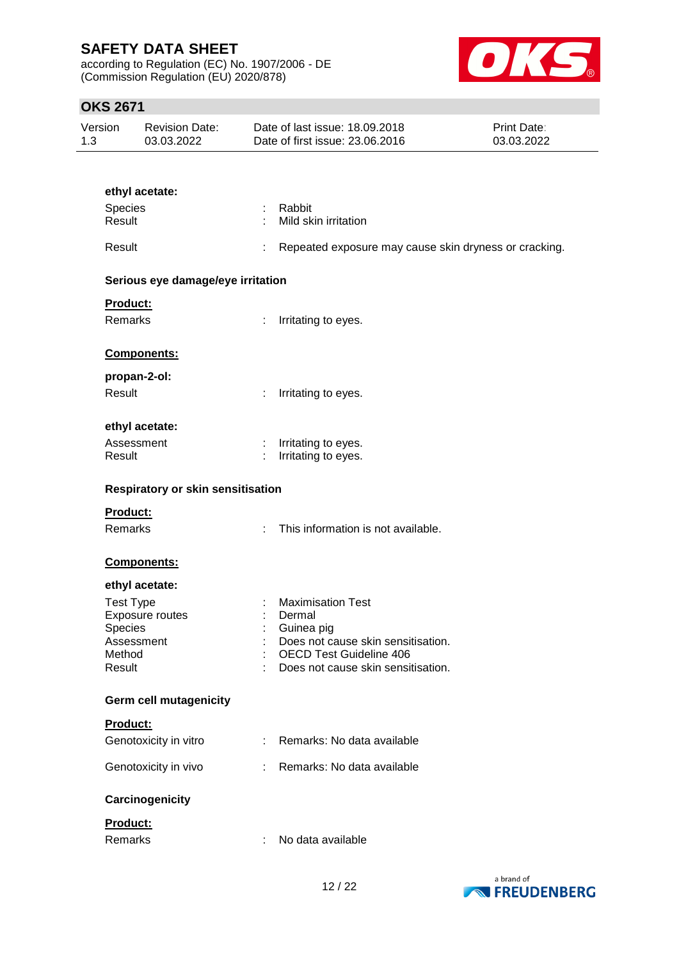according to Regulation (EC) No. 1907/2006 - DE (Commission Regulation (EU) 2020/878)



## **OKS 2671**

| Version | Revision Date: | Date of last issue: 18.09.2018  | <b>Print Date:</b> |
|---------|----------------|---------------------------------|--------------------|
| 1.3     | 03.03.2022     | Date of first issue: 23,06,2016 | 03.03.2022         |

| ethyl acetate:                    |                                                            |
|-----------------------------------|------------------------------------------------------------|
| <b>Species</b>                    | : Rabbit                                                   |
| Result                            | Mild skin irritation<br>t.                                 |
| Result                            | Repeated exposure may cause skin dryness or cracking.<br>÷ |
| Serious eye damage/eye irritation |                                                            |
| Product:                          |                                                            |
| <b>Remarks</b>                    | ÷.<br>Irritating to eyes.                                  |
| <b>Components:</b>                |                                                            |
| propan-2-ol:                      |                                                            |
| Result                            | Irritating to eyes.<br>t.                                  |
| ethyl acetate:                    |                                                            |
| Assessment<br>Result              | Irritating to eyes.<br>÷<br>Irritating to eyes.            |
|                                   |                                                            |
| Respiratory or skin sensitisation |                                                            |
| <b>Product:</b>                   |                                                            |
| <b>Remarks</b>                    | This information is not available.<br>÷.                   |
| Components:                       |                                                            |
| ethyl acetate:                    |                                                            |
| <b>Test Type</b>                  | <b>Maximisation Test</b>                                   |
| Exposure routes                   | Dermal                                                     |
| Species<br>Assessment             | Guinea pig<br>Does not cause skin sensitisation.           |
| Method                            | <b>OECD Test Guideline 406</b>                             |
| Result                            | Does not cause skin sensitisation.                         |
| <b>Germ cell mutagenicity</b>     |                                                            |
| Product:                          |                                                            |
| Genotoxicity in vitro             | Remarks: No data available<br>÷.                           |
| Genotoxicity in vivo              | Remarks: No data available                                 |
| Carcinogenicity                   |                                                            |
| Product:                          |                                                            |
| Remarks                           | No data available<br>÷                                     |
|                                   |                                                            |

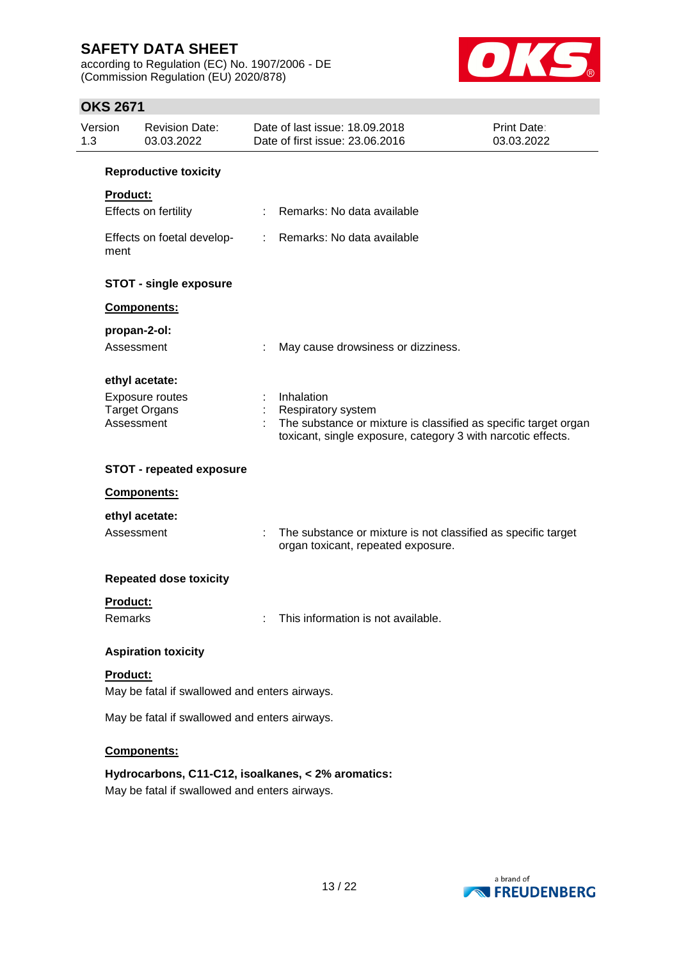according to Regulation (EC) No. 1907/2006 - DE (Commission Regulation (EU) 2020/878)



## **OKS 2671**

| Version<br>1.3 | <b>Revision Date:</b><br>03.03.2022           |    | Date of last issue: 18.09.2018<br>Date of first issue: 23.06.2016                                                                                            | <b>Print Date:</b><br>03.03.2022 |  |  |
|----------------|-----------------------------------------------|----|--------------------------------------------------------------------------------------------------------------------------------------------------------------|----------------------------------|--|--|
|                | <b>Reproductive toxicity</b>                  |    |                                                                                                                                                              |                                  |  |  |
|                | <b>Product:</b>                               |    |                                                                                                                                                              |                                  |  |  |
|                | Effects on fertility                          |    | Remarks: No data available                                                                                                                                   |                                  |  |  |
| ment           | Effects on foetal develop-                    | t. | Remarks: No data available                                                                                                                                   |                                  |  |  |
|                | <b>STOT - single exposure</b>                 |    |                                                                                                                                                              |                                  |  |  |
|                | Components:                                   |    |                                                                                                                                                              |                                  |  |  |
|                | propan-2-ol:                                  |    |                                                                                                                                                              |                                  |  |  |
|                | Assessment                                    |    | May cause drowsiness or dizziness.                                                                                                                           |                                  |  |  |
|                | ethyl acetate:                                |    |                                                                                                                                                              |                                  |  |  |
|                | Exposure routes                               |    | Inhalation                                                                                                                                                   |                                  |  |  |
|                | <b>Target Organs</b><br>Assessment            |    | <b>Respiratory system</b><br>The substance or mixture is classified as specific target organ<br>toxicant, single exposure, category 3 with narcotic effects. |                                  |  |  |
|                |                                               |    |                                                                                                                                                              |                                  |  |  |
|                | <b>STOT - repeated exposure</b>               |    |                                                                                                                                                              |                                  |  |  |
|                | Components:                                   |    |                                                                                                                                                              |                                  |  |  |
|                | ethyl acetate:                                |    |                                                                                                                                                              |                                  |  |  |
|                | Assessment                                    |    | The substance or mixture is not classified as specific target<br>organ toxicant, repeated exposure.                                                          |                                  |  |  |
|                | <b>Repeated dose toxicity</b>                 |    |                                                                                                                                                              |                                  |  |  |
|                | <b>Product:</b>                               |    |                                                                                                                                                              |                                  |  |  |
|                | Remarks                                       |    | This information is not available.                                                                                                                           |                                  |  |  |
|                | <b>Aspiration toxicity</b>                    |    |                                                                                                                                                              |                                  |  |  |
|                | Product:                                      |    |                                                                                                                                                              |                                  |  |  |
|                | May be fatal if swallowed and enters airways. |    |                                                                                                                                                              |                                  |  |  |
|                | May be fatal if swallowed and enters airways. |    |                                                                                                                                                              |                                  |  |  |
|                | Components:                                   |    |                                                                                                                                                              |                                  |  |  |
|                |                                               |    | Hydrocarbons, C11-C12, isoalkanes, < 2% aromatics:                                                                                                           |                                  |  |  |

May be fatal if swallowed and enters airways.

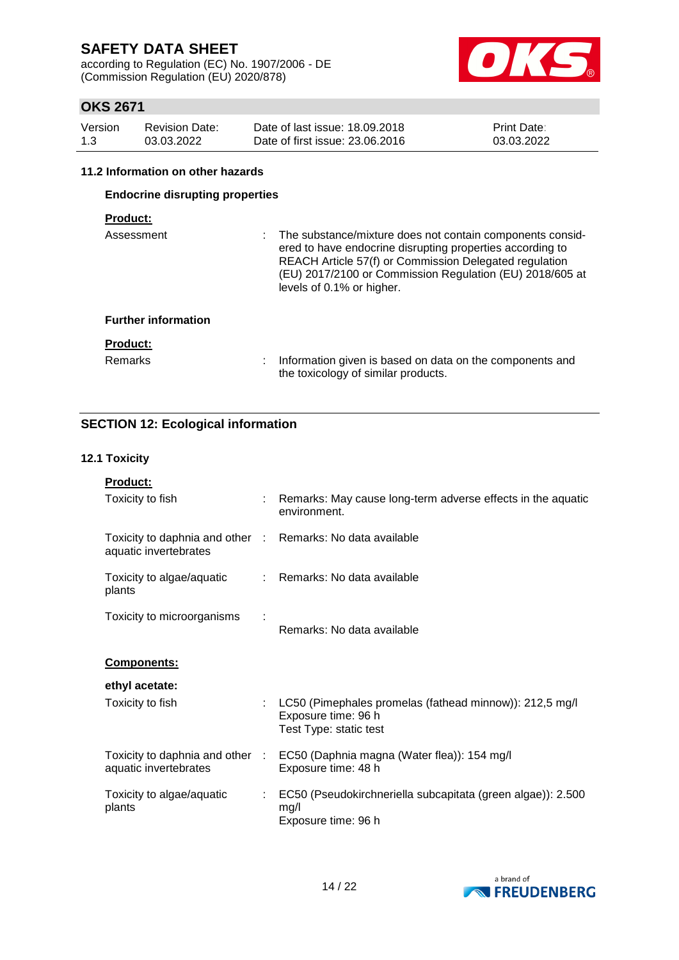according to Regulation (EC) No. 1907/2006 - DE (Commission Regulation (EU) 2020/878)



## **OKS 2671**

| Version | <b>Revision Date:</b> | Date of last issue: 18,09,2018  | <b>Print Date:</b> |
|---------|-----------------------|---------------------------------|--------------------|
| 1.3     | 03.03.2022            | Date of first issue: 23,06,2016 | 03.03.2022         |

#### **11.2 Information on other hazards**

### **Endocrine disrupting properties**

### **Product:**

| Assessment                 | The substance/mixture does not contain components consid-<br>ered to have endocrine disrupting properties according to<br>REACH Article 57(f) or Commission Delegated regulation<br>(EU) 2017/2100 or Commission Regulation (EU) 2018/605 at<br>levels of 0.1% or higher. |
|----------------------------|---------------------------------------------------------------------------------------------------------------------------------------------------------------------------------------------------------------------------------------------------------------------------|
| <b>Further information</b> |                                                                                                                                                                                                                                                                           |
| <b>Product:</b>            |                                                                                                                                                                                                                                                                           |
| <b>Remarks</b>             | Information given is based on data on the components and<br>the toxicology of similar products.                                                                                                                                                                           |

### **SECTION 12: Ecological information**

#### **12.1 Toxicity**

**Product:** Toxicity to fish : Remarks: May cause long-term adverse effects in the aquatic environment. Toxicity to daphnia and other : Remarks: No data available aquatic invertebrates Toxicity to algae/aquatic plants : Remarks: No data available Toxicity to microorganisms : Remarks: No data available **Components: ethyl acetate:** Toxicity to fish : LC50 (Pimephales promelas (fathead minnow)): 212,5 mg/l Exposure time: 96 h Test Type: static test Toxicity to daphnia and other aquatic invertebrates : EC50 (Daphnia magna (Water flea)): 154 mg/l Exposure time: 48 h Toxicity to algae/aquatic plants : EC50 (Pseudokirchneriella subcapitata (green algae)): 2.500 mg/l Exposure time: 96 h

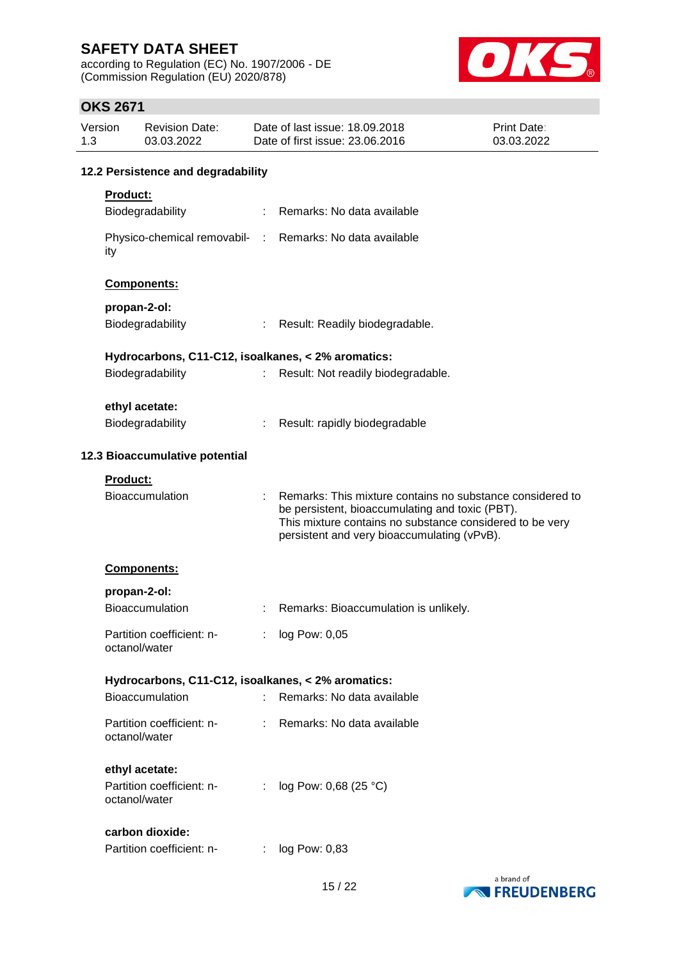according to Regulation (EC) No. 1907/2006 - DE (Commission Regulation (EU) 2020/878)



## **OKS 2671**

| Version<br>1.3 |                                    | <b>Revision Date:</b><br>03.03.2022                          |   | Date of last issue: 18.09.2018<br>Date of first issue: 23.06.2016                                                                                                                                                       | Print Date:<br>03.03.2022 |  |  |
|----------------|------------------------------------|--------------------------------------------------------------|---|-------------------------------------------------------------------------------------------------------------------------------------------------------------------------------------------------------------------------|---------------------------|--|--|
|                | 12.2 Persistence and degradability |                                                              |   |                                                                                                                                                                                                                         |                           |  |  |
|                | <b>Product:</b>                    |                                                              |   |                                                                                                                                                                                                                         |                           |  |  |
|                |                                    | Biodegradability                                             |   | : Remarks: No data available                                                                                                                                                                                            |                           |  |  |
|                | ity                                |                                                              |   | Physico-chemical removabil- : Remarks: No data available                                                                                                                                                                |                           |  |  |
|                |                                    | Components:                                                  |   |                                                                                                                                                                                                                         |                           |  |  |
|                | propan-2-ol:                       |                                                              |   |                                                                                                                                                                                                                         |                           |  |  |
|                |                                    | Biodegradability                                             |   | Result: Readily biodegradable.                                                                                                                                                                                          |                           |  |  |
|                |                                    |                                                              |   | Hydrocarbons, C11-C12, isoalkanes, < 2% aromatics:                                                                                                                                                                      |                           |  |  |
|                |                                    | Biodegradability                                             |   | Result: Not readily biodegradable.                                                                                                                                                                                      |                           |  |  |
|                |                                    | ethyl acetate:                                               |   |                                                                                                                                                                                                                         |                           |  |  |
|                |                                    | Biodegradability                                             |   | Result: rapidly biodegradable                                                                                                                                                                                           |                           |  |  |
|                | 12.3 Bioaccumulative potential     |                                                              |   |                                                                                                                                                                                                                         |                           |  |  |
|                | <b>Product:</b>                    |                                                              |   |                                                                                                                                                                                                                         |                           |  |  |
|                |                                    | <b>Bioaccumulation</b>                                       |   | Remarks: This mixture contains no substance considered to<br>be persistent, bioaccumulating and toxic (PBT).<br>This mixture contains no substance considered to be very<br>persistent and very bioaccumulating (vPvB). |                           |  |  |
|                |                                    | Components:                                                  |   |                                                                                                                                                                                                                         |                           |  |  |
|                | propan-2-ol:                       |                                                              |   |                                                                                                                                                                                                                         |                           |  |  |
|                |                                    | Bioaccumulation                                              | ÷ | Remarks: Bioaccumulation is unlikely.                                                                                                                                                                                   |                           |  |  |
|                |                                    | Partition coefficient: n-<br>octanol/water                   |   | : log Pow: 0,05                                                                                                                                                                                                         |                           |  |  |
|                |                                    |                                                              |   | Hydrocarbons, C11-C12, isoalkanes, < 2% aromatics:                                                                                                                                                                      |                           |  |  |
|                |                                    | Bioaccumulation                                              |   | Remarks: No data available                                                                                                                                                                                              |                           |  |  |
|                |                                    | Partition coefficient: n-<br>octanol/water                   |   | Remarks: No data available                                                                                                                                                                                              |                           |  |  |
|                |                                    | ethyl acetate:<br>Partition coefficient: n-<br>octanol/water | ÷ | log Pow: 0,68 (25 °C)                                                                                                                                                                                                   |                           |  |  |
|                |                                    | carbon dioxide:<br>Partition coefficient: n-                 | ÷ | log Pow: 0,83                                                                                                                                                                                                           |                           |  |  |

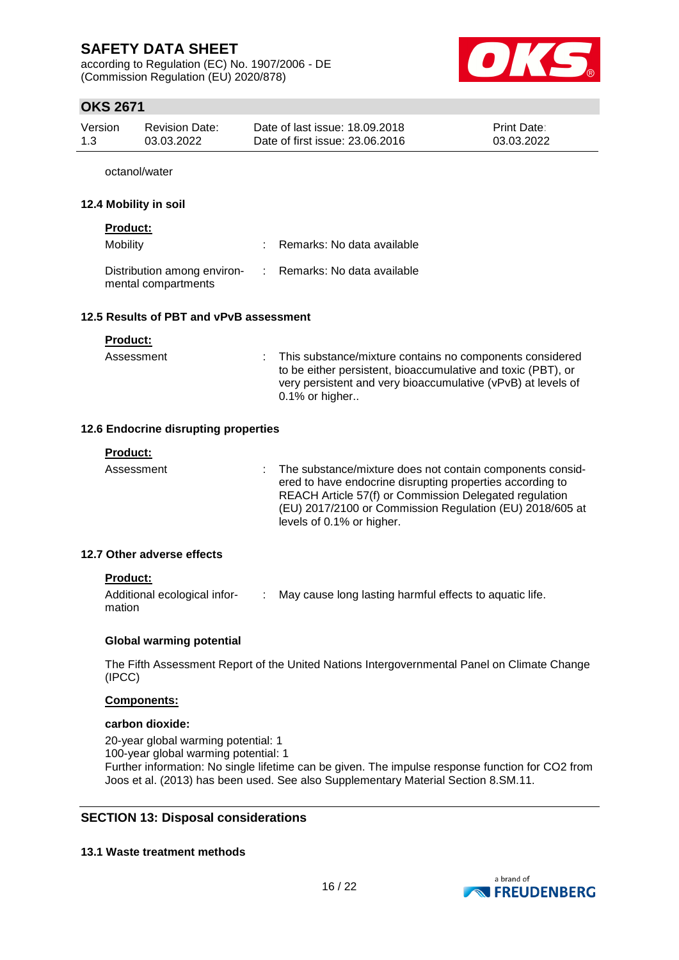according to Regulation (EC) No. 1907/2006 - DE (Commission Regulation (EU) 2020/878)



## **OKS 2671**

| Version | Revision Date: | Date of last issue: 18.09.2018  | <b>Print Date:</b> |
|---------|----------------|---------------------------------|--------------------|
| 1.3     | 03.03.2022     | Date of first issue: 23,06,2016 | 03.03.2022         |

octanol/water

#### **12.4 Mobility in soil**

### **Product:**

| Mobility                                           | : Remarks: No data available |
|----------------------------------------------------|------------------------------|
| Distribution among environ-<br>mental compartments | : Remarks: No data available |

#### **12.5 Results of PBT and vPvB assessment**

| <b>Product:</b> |                                                                                                                                                                                                                 |
|-----------------|-----------------------------------------------------------------------------------------------------------------------------------------------------------------------------------------------------------------|
| Assessment      | : This substance/mixture contains no components considered<br>to be either persistent, bioaccumulative and toxic (PBT), or<br>very persistent and very bioaccumulative (vPvB) at levels of<br>$0.1\%$ or higher |

#### **12.6 Endocrine disrupting properties**

| <b>Product:</b> |                                                                                                                                                                                                                                                                             |
|-----------------|-----------------------------------------------------------------------------------------------------------------------------------------------------------------------------------------------------------------------------------------------------------------------------|
| Assessment      | : The substance/mixture does not contain components consid-<br>ered to have endocrine disrupting properties according to<br>REACH Article 57(f) or Commission Delegated regulation<br>(EU) 2017/2100 or Commission Regulation (EU) 2018/605 at<br>levels of 0.1% or higher. |
|                 |                                                                                                                                                                                                                                                                             |

### **12.7 Other adverse effects**

### **Product:**

| Additional ecological infor- | May cause long lasting harmful effects to aquatic life. |
|------------------------------|---------------------------------------------------------|
| mation                       |                                                         |

#### **Global warming potential**

The Fifth Assessment Report of the United Nations Intergovernmental Panel on Climate Change (IPCC)

#### **Components:**

#### **carbon dioxide:**

20-year global warming potential: 1 100-year global warming potential: 1 Further information: No single lifetime can be given. The impulse response function for CO2 from Joos et al. (2013) has been used. See also Supplementary Material Section 8.SM.11.

### **SECTION 13: Disposal considerations**

#### **13.1 Waste treatment methods**

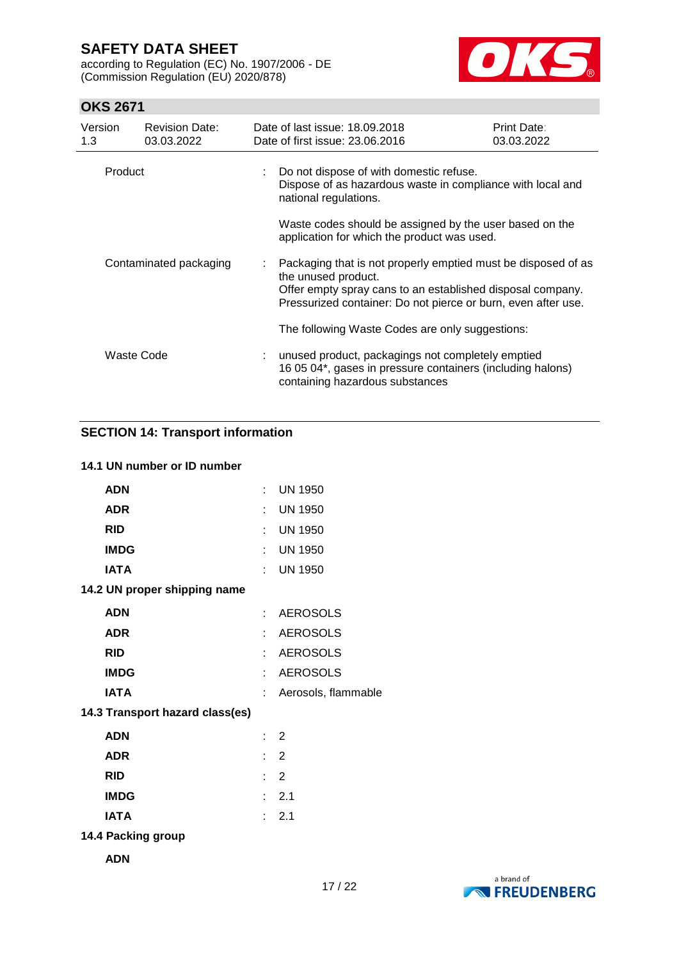according to Regulation (EC) No. 1907/2006 - DE (Commission Regulation (EU) 2020/878)



## **OKS 2671**

| Version<br>1.3 | <b>Revision Date:</b><br>03.03.2022 | Date of last issue: 18.09.2018<br>Date of first issue: 23.06.2016                                                                                                                                                   | Print Date:<br>03.03.2022 |  |  |  |  |
|----------------|-------------------------------------|---------------------------------------------------------------------------------------------------------------------------------------------------------------------------------------------------------------------|---------------------------|--|--|--|--|
| Product        |                                     | Do not dispose of with domestic refuse.<br>Dispose of as hazardous waste in compliance with local and<br>national regulations.                                                                                      |                           |  |  |  |  |
|                |                                     | Waste codes should be assigned by the user based on the<br>application for which the product was used.                                                                                                              |                           |  |  |  |  |
|                | Contaminated packaging              | Packaging that is not properly emptied must be disposed of as<br>the unused product.<br>Offer empty spray cans to an established disposal company.<br>Pressurized container: Do not pierce or burn, even after use. |                           |  |  |  |  |
|                |                                     | The following Waste Codes are only suggestions:                                                                                                                                                                     |                           |  |  |  |  |
|                | Waste Code                          | : unused product, packagings not completely emptied<br>16 05 04*, gases in pressure containers (including halons)<br>containing hazardous substances                                                                |                           |  |  |  |  |

### **SECTION 14: Transport information**

### **14.1 UN number or ID number**

| <b>ADN</b>                      | t.                          | <b>UN 1950</b>      |
|---------------------------------|-----------------------------|---------------------|
| <b>ADR</b>                      | t.                          | <b>UN 1950</b>      |
| <b>RID</b>                      | t.                          | <b>UN 1950</b>      |
| <b>IMDG</b>                     |                             | $:$ UN 1950         |
| <b>IATA</b>                     | t.                          | <b>UN 1950</b>      |
| 14.2 UN proper shipping name    |                             |                     |
| <b>ADN</b>                      | t.                          | <b>AEROSOLS</b>     |
| <b>ADR</b>                      | t.                          | <b>AEROSOLS</b>     |
| <b>RID</b>                      | t.                          | <b>AEROSOLS</b>     |
| <b>IMDG</b>                     | t.                          | <b>AEROSOLS</b>     |
| <b>IATA</b>                     | t.                          | Aerosols, flammable |
| 14.3 Transport hazard class(es) |                             |                     |
| <b>ADN</b>                      |                             | $\therefore$ 2      |
| <b>ADR</b>                      |                             | $\therefore$ 2      |
| <b>RID</b>                      |                             | $\therefore$ 2      |
| <b>IMDG</b>                     |                             | : 2.1               |
| <b>IATA</b>                     | $\mathbf{r}_{\mathrm{max}}$ | 2.1                 |
| 14.4 Packing group              |                             |                     |
| <b>ADN</b>                      |                             |                     |

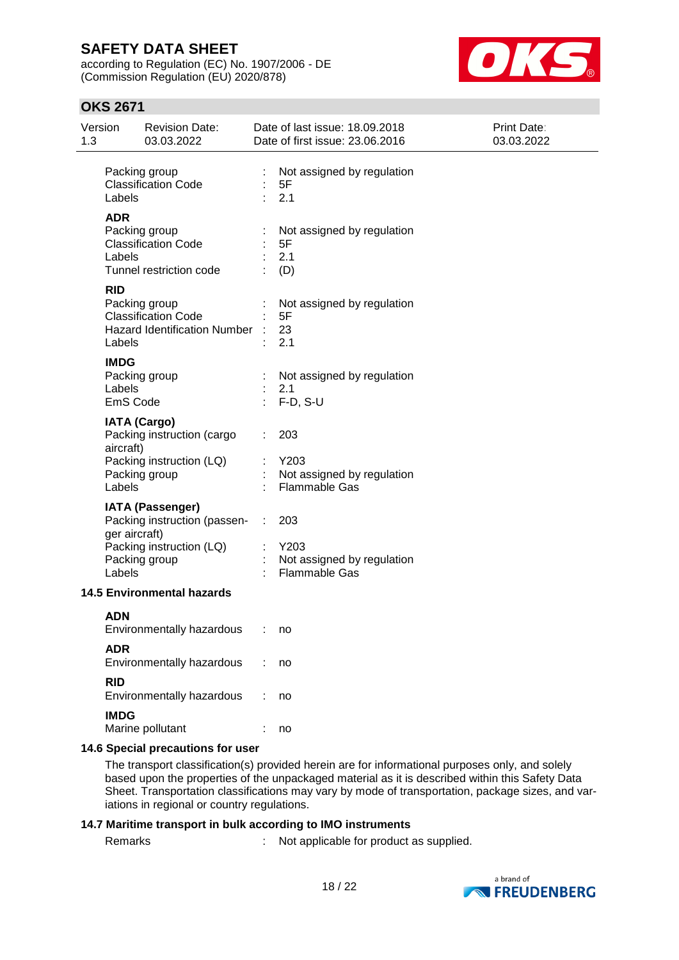according to Regulation (EC) No. 1907/2006 - DE (Commission Regulation (EU) 2020/878)



### **OKS 2671**

| Version<br><b>Revision Date:</b><br>03.03.2022<br>1.3                                                                                 | Date of last issue: 18,09,2018<br>Print Date:<br>Date of first issue: 23.06.2016<br>03.03.2022 |  |
|---------------------------------------------------------------------------------------------------------------------------------------|------------------------------------------------------------------------------------------------|--|
| Packing group<br><b>Classification Code</b><br>Labels                                                                                 | ÷<br>Not assigned by regulation<br>5F<br>2.1                                                   |  |
| <b>ADR</b><br>Packing group<br><b>Classification Code</b><br>Labels<br>Tunnel restriction code                                        | Not assigned by regulation<br>5F<br>2.1<br>(D)                                                 |  |
| <b>RID</b><br>Packing group<br><b>Classification Code</b><br>Hazard Identification Number : 23<br>Labels                              | Not assigned by regulation<br>5F<br>2.1                                                        |  |
| <b>IMDG</b><br>Packing group<br>Labels<br>EmS Code                                                                                    | Not assigned by regulation<br>2.1<br>$F-D, S-U$                                                |  |
| <b>IATA (Cargo)</b><br>Packing instruction (cargo<br>aircraft)<br>Packing instruction (LQ)<br>Packing group<br>Labels                 | 203<br>Y203<br>Not assigned by regulation<br><b>Flammable Gas</b>                              |  |
| <b>IATA (Passenger)</b><br>Packing instruction (passen- : 203<br>ger aircraft)<br>Packing instruction (LQ)<br>Packing group<br>Labels | Y203<br>Not assigned by regulation<br><b>Flammable Gas</b>                                     |  |
| <b>14.5 Environmental hazards</b>                                                                                                     |                                                                                                |  |
| <b>ADN</b><br>Environmentally hazardous                                                                                               | no                                                                                             |  |
| <b>ADR</b><br>Environmentally hazardous                                                                                               | no                                                                                             |  |
| <b>RID</b><br>Environmentally hazardous                                                                                               | no                                                                                             |  |
| <b>IMDG</b><br>Marine pollutant                                                                                                       | no                                                                                             |  |

#### **14.6 Special precautions for user**

The transport classification(s) provided herein are for informational purposes only, and solely based upon the properties of the unpackaged material as it is described within this Safety Data Sheet. Transportation classifications may vary by mode of transportation, package sizes, and variations in regional or country regulations.

#### **14.7 Maritime transport in bulk according to IMO instruments**

Remarks : Not applicable for product as supplied.

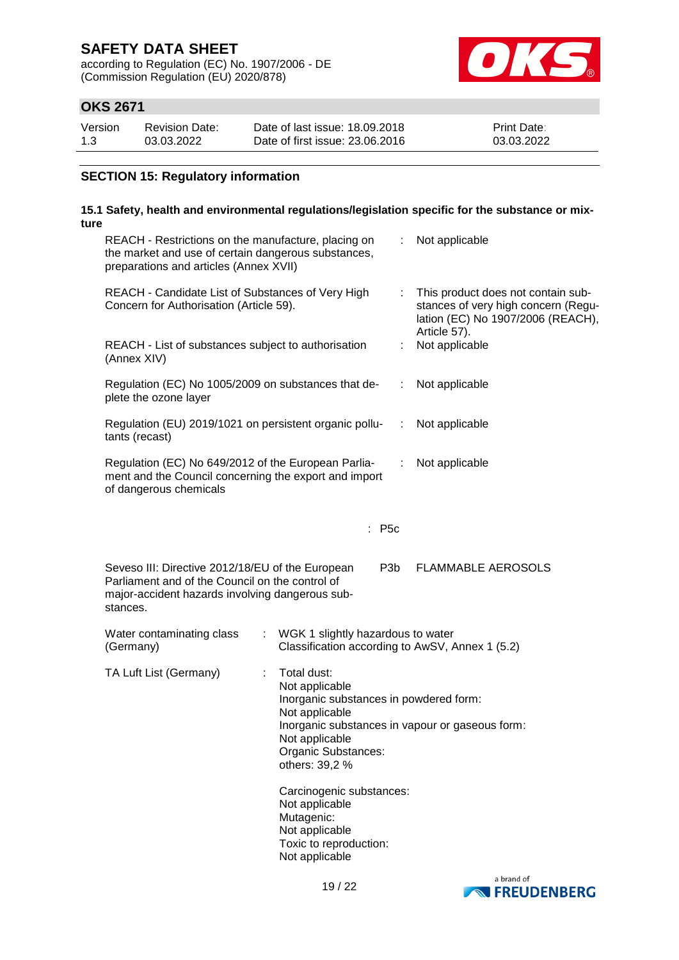according to Regulation (EC) No. 1907/2006 - DE (Commission Regulation (EU) 2020/878)



## **OKS 2671**

| Version | <b>Revision Date:</b> | Date of last issue: 18.09.2018  | <b>Print Date:</b> |
|---------|-----------------------|---------------------------------|--------------------|
| 1.3     | 03.03.2022            | Date of first issue: 23,06,2016 | 03.03.2022         |

### **SECTION 15: Regulatory information**

### **15.1 Safety, health and environmental regulations/legislation specific for the substance or mixture**

| REACH - Restrictions on the manufacture, placing on<br>the market and use of certain dangerous substances,<br>preparations and articles (Annex XVII)               |                                                                                                                                                      |                  | Not applicable                                                                                                                 |
|--------------------------------------------------------------------------------------------------------------------------------------------------------------------|------------------------------------------------------------------------------------------------------------------------------------------------------|------------------|--------------------------------------------------------------------------------------------------------------------------------|
| REACH - Candidate List of Substances of Very High<br>Concern for Authorisation (Article 59).                                                                       |                                                                                                                                                      | t.               | This product does not contain sub-<br>stances of very high concern (Regu-<br>lation (EC) No 1907/2006 (REACH),<br>Article 57). |
| REACH - List of substances subject to authorisation<br>(Annex XIV)                                                                                                 |                                                                                                                                                      | ÷                | Not applicable                                                                                                                 |
| Regulation (EC) No 1005/2009 on substances that de-<br>plete the ozone layer                                                                                       |                                                                                                                                                      | ÷                | Not applicable                                                                                                                 |
| Regulation (EU) 2019/1021 on persistent organic pollu-<br>tants (recast)                                                                                           |                                                                                                                                                      | ÷                | Not applicable                                                                                                                 |
| Regulation (EC) No 649/2012 of the European Parlia-<br>ment and the Council concerning the export and import<br>of dangerous chemicals                             |                                                                                                                                                      | ÷                | Not applicable                                                                                                                 |
|                                                                                                                                                                    | $:$ P5c                                                                                                                                              |                  |                                                                                                                                |
| Seveso III: Directive 2012/18/EU of the European<br>Parliament and of the Council on the control of<br>major-accident hazards involving dangerous sub-<br>stances. |                                                                                                                                                      | P <sub>3</sub> b | <b>FLAMMABLE AEROSOLS</b>                                                                                                      |
| Water contaminating class<br>(Germany)                                                                                                                             | WGK 1 slightly hazardous to water<br>$\mathcal{I}^{\mathcal{I}}$ .<br>Classification according to AwSV, Annex 1 (5.2)                                |                  |                                                                                                                                |
| TA Luft List (Germany)                                                                                                                                             | Total dust:<br>Not applicable<br>Inorganic substances in powdered form:<br>Not applicable<br>Not applicable<br>Organic Substances:<br>others: 39,2 % |                  | Inorganic substances in vapour or gaseous form:                                                                                |
|                                                                                                                                                                    | Carcinogenic substances:<br>Not applicable<br>Mutagenic:<br>Not applicable<br>Toxic to reproduction:<br>Not applicable                               |                  |                                                                                                                                |

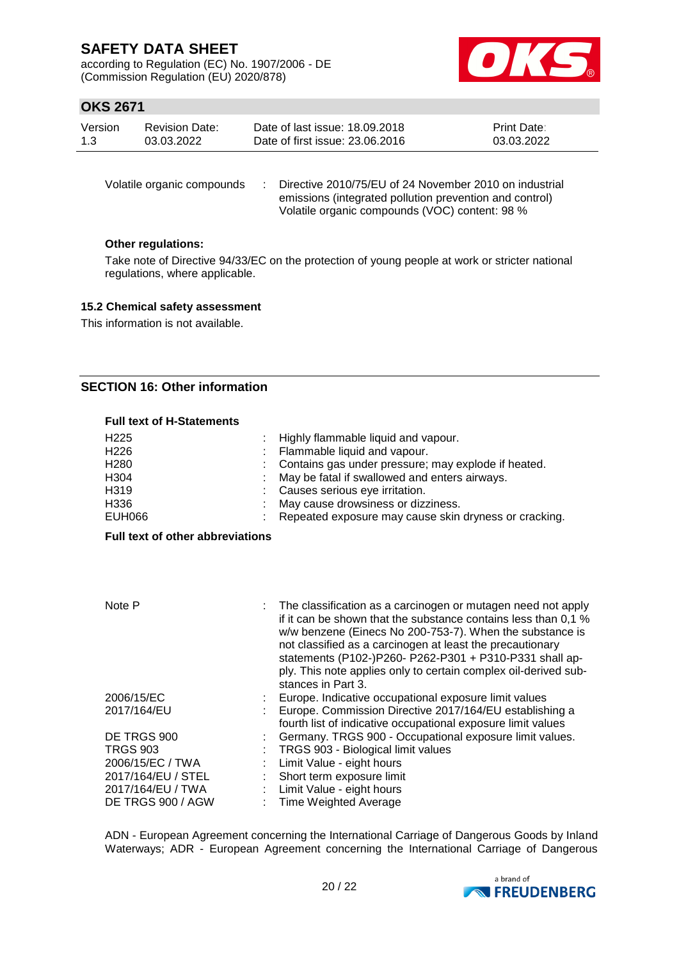according to Regulation (EC) No. 1907/2006 - DE (Commission Regulation (EU) 2020/878)



### **OKS 2671**

| Version | Revision Date: | Date of last issue: 18.09.2018  | <b>Print Date:</b> |
|---------|----------------|---------------------------------|--------------------|
| 1.3     | 03.03.2022     | Date of first issue: 23,06,2016 | 03.03.2022         |

Volatile organic compounds : Directive 2010/75/EU of 24 November 2010 on industrial emissions (integrated pollution prevention and control) Volatile organic compounds (VOC) content: 98 %

### **Other regulations:**

Take note of Directive 94/33/EC on the protection of young people at work or stricter national regulations, where applicable.

### **15.2 Chemical safety assessment**

This information is not available.

### **SECTION 16: Other information**

#### **Full text of H-Statements**

| H <sub>225</sub><br>H <sub>226</sub><br>H <sub>280</sub><br>H304<br>H319<br>H336<br><b>EUH066</b> |   | Highly flammable liquid and vapour.<br>Flammable liquid and vapour.<br>Contains gas under pressure; may explode if heated.<br>May be fatal if swallowed and enters airways.<br>Causes serious eye irritation.<br>May cause drowsiness or dizziness.<br>Repeated exposure may cause skin dryness or cracking.                                                                                                |
|---------------------------------------------------------------------------------------------------|---|-------------------------------------------------------------------------------------------------------------------------------------------------------------------------------------------------------------------------------------------------------------------------------------------------------------------------------------------------------------------------------------------------------------|
| <b>Full text of other abbreviations</b>                                                           |   |                                                                                                                                                                                                                                                                                                                                                                                                             |
|                                                                                                   |   |                                                                                                                                                                                                                                                                                                                                                                                                             |
| Note P                                                                                            |   | The classification as a carcinogen or mutagen need not apply<br>if it can be shown that the substance contains less than 0,1 %<br>w/w benzene (Einecs No 200-753-7). When the substance is<br>not classified as a carcinogen at least the precautionary<br>statements (P102-)P260- P262-P301 + P310-P331 shall ap-<br>ply. This note applies only to certain complex oil-derived sub-<br>stances in Part 3. |
| 2006/15/EC                                                                                        |   | Europe. Indicative occupational exposure limit values                                                                                                                                                                                                                                                                                                                                                       |
| 2017/164/EU                                                                                       |   | Europe. Commission Directive 2017/164/EU establishing a<br>fourth list of indicative occupational exposure limit values                                                                                                                                                                                                                                                                                     |
| DE TRGS 900                                                                                       |   | Germany. TRGS 900 - Occupational exposure limit values.                                                                                                                                                                                                                                                                                                                                                     |
| <b>TRGS 903</b>                                                                                   |   | TRGS 903 - Biological limit values                                                                                                                                                                                                                                                                                                                                                                          |
| 2006/15/EC / TWA                                                                                  |   | Limit Value - eight hours                                                                                                                                                                                                                                                                                                                                                                                   |
| 2017/164/EU / STEL                                                                                |   | Short term exposure limit                                                                                                                                                                                                                                                                                                                                                                                   |
| 2017/164/EU / TWA                                                                                 |   | Limit Value - eight hours                                                                                                                                                                                                                                                                                                                                                                                   |
| DE TRGS 900 / AGW                                                                                 | ٠ | <b>Time Weighted Average</b>                                                                                                                                                                                                                                                                                                                                                                                |

ADN - European Agreement concerning the International Carriage of Dangerous Goods by Inland Waterways; ADR - European Agreement concerning the International Carriage of Dangerous

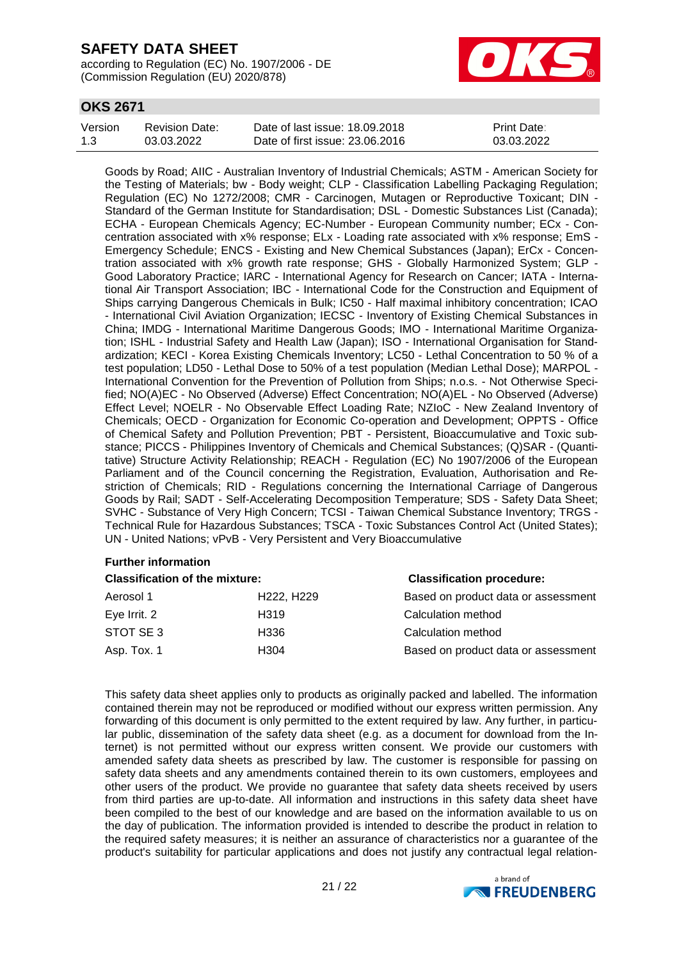according to Regulation (EC) No. 1907/2006 - DE (Commission Regulation (EU) 2020/878)



## **OKS 2671**

| Version | Revision Date: | Date of last issue: 18.09.2018  | <b>Print Date:</b> |
|---------|----------------|---------------------------------|--------------------|
| 1.3     | 03.03.2022     | Date of first issue: 23,06,2016 | 03.03.2022         |

Goods by Road; AIIC - Australian Inventory of Industrial Chemicals; ASTM - American Society for the Testing of Materials; bw - Body weight; CLP - Classification Labelling Packaging Regulation; Regulation (EC) No 1272/2008; CMR - Carcinogen, Mutagen or Reproductive Toxicant; DIN - Standard of the German Institute for Standardisation; DSL - Domestic Substances List (Canada); ECHA - European Chemicals Agency; EC-Number - European Community number; ECx - Concentration associated with x% response; ELx - Loading rate associated with x% response; EmS - Emergency Schedule; ENCS - Existing and New Chemical Substances (Japan); ErCx - Concentration associated with x% growth rate response; GHS - Globally Harmonized System; GLP - Good Laboratory Practice; IARC - International Agency for Research on Cancer; IATA - International Air Transport Association; IBC - International Code for the Construction and Equipment of Ships carrying Dangerous Chemicals in Bulk; IC50 - Half maximal inhibitory concentration; ICAO - International Civil Aviation Organization; IECSC - Inventory of Existing Chemical Substances in China; IMDG - International Maritime Dangerous Goods; IMO - International Maritime Organization; ISHL - Industrial Safety and Health Law (Japan); ISO - International Organisation for Standardization; KECI - Korea Existing Chemicals Inventory; LC50 - Lethal Concentration to 50 % of a test population; LD50 - Lethal Dose to 50% of a test population (Median Lethal Dose); MARPOL - International Convention for the Prevention of Pollution from Ships; n.o.s. - Not Otherwise Specified; NO(A)EC - No Observed (Adverse) Effect Concentration; NO(A)EL - No Observed (Adverse) Effect Level; NOELR - No Observable Effect Loading Rate; NZIoC - New Zealand Inventory of Chemicals; OECD - Organization for Economic Co-operation and Development; OPPTS - Office of Chemical Safety and Pollution Prevention; PBT - Persistent, Bioaccumulative and Toxic substance; PICCS - Philippines Inventory of Chemicals and Chemical Substances; (Q)SAR - (Quantitative) Structure Activity Relationship; REACH - Regulation (EC) No 1907/2006 of the European Parliament and of the Council concerning the Registration, Evaluation, Authorisation and Restriction of Chemicals; RID - Regulations concerning the International Carriage of Dangerous Goods by Rail; SADT - Self-Accelerating Decomposition Temperature; SDS - Safety Data Sheet; SVHC - Substance of Very High Concern; TCSI - Taiwan Chemical Substance Inventory; TRGS - Technical Rule for Hazardous Substances; TSCA - Toxic Substances Control Act (United States); UN - United Nations; vPvB - Very Persistent and Very Bioaccumulative

### **Further information**

#### **Classification of the mixture: Classification procedure:**

| Aerosol 1    | H <sub>222</sub> , H <sub>229</sub> | Based on product data or assessment |
|--------------|-------------------------------------|-------------------------------------|
| Eye Irrit. 2 | H <sub>319</sub>                    | Calculation method                  |
| STOT SE 3    | H336                                | Calculation method                  |
| Asp. Tox. 1  | H304                                | Based on product data or assessment |
|              |                                     |                                     |

This safety data sheet applies only to products as originally packed and labelled. The information contained therein may not be reproduced or modified without our express written permission. Any forwarding of this document is only permitted to the extent required by law. Any further, in particular public, dissemination of the safety data sheet (e.g. as a document for download from the Internet) is not permitted without our express written consent. We provide our customers with amended safety data sheets as prescribed by law. The customer is responsible for passing on safety data sheets and any amendments contained therein to its own customers, employees and other users of the product. We provide no guarantee that safety data sheets received by users from third parties are up-to-date. All information and instructions in this safety data sheet have been compiled to the best of our knowledge and are based on the information available to us on the day of publication. The information provided is intended to describe the product in relation to the required safety measures; it is neither an assurance of characteristics nor a guarantee of the product's suitability for particular applications and does not justify any contractual legal relation-